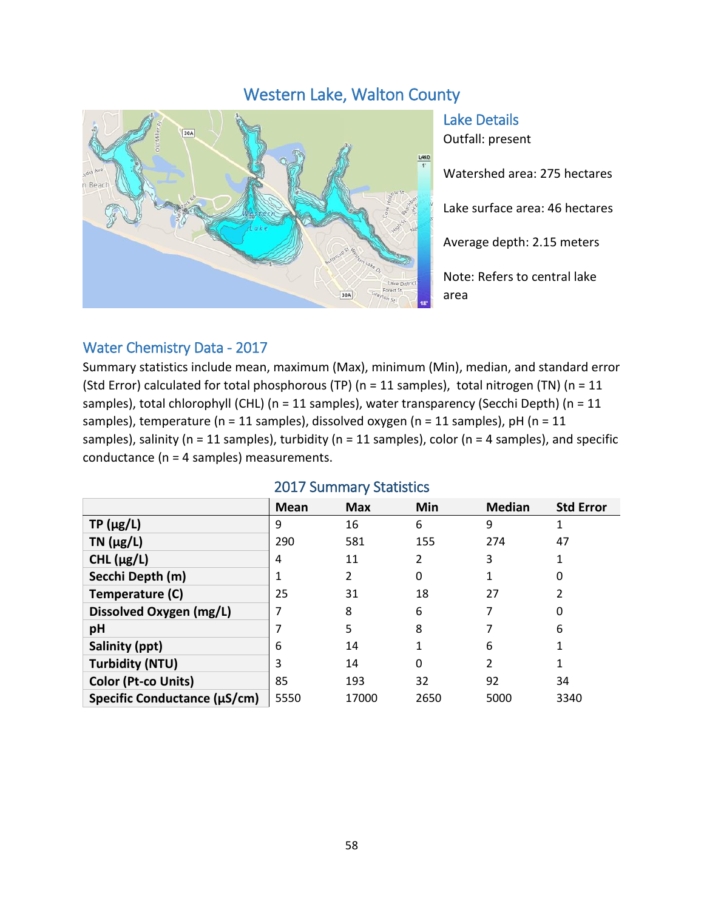# Western Lake, Walton County



Lake Details Outfall: present

Watershed area: 275 hectares

Lake surface area: 46 hectares

Average depth: 2.15 meters

Note: Refers to central lake area

#### Water Chemistry Data - 2017

Summary statistics include mean, maximum (Max), minimum (Min), median, and standard error (Std Error) calculated for total phosphorous (TP) (n = 11 samples), total nitrogen (TN) (n = 11 samples), total chlorophyll (CHL) (n = 11 samples), water transparency (Secchi Depth) (n = 11 samples), temperature (n = 11 samples), dissolved oxygen (n = 11 samples), pH (n = 11 samples), salinity ( $n = 11$  samples), turbidity ( $n = 11$  samples), color ( $n = 4$  samples), and specific conductance (n = 4 samples) measurements.

|                              | <b>Mean</b> | <b>Max</b> | Min  | <b>Median</b>  | <b>Std Error</b> |
|------------------------------|-------------|------------|------|----------------|------------------|
| $TP(\mu g/L)$                | 9           | 16         | 6    | 9              |                  |
| TN $(\mu g/L)$               | 290         | 581        | 155  | 274            | 47               |
| CHL $(\mu g/L)$              | 4           | 11         | 2    | 3              |                  |
| Secchi Depth (m)             |             | 2          | 0    |                | 0                |
| Temperature (C)              | 25          | 31         | 18   | 27             |                  |
| Dissolved Oxygen (mg/L)      |             | 8          | 6    | 7              | 0                |
| pH                           |             | 5          | 8    |                | 6                |
| Salinity (ppt)               | 6           | 14         |      | 6              |                  |
| <b>Turbidity (NTU)</b>       | 3           | 14         | 0    | $\overline{2}$ |                  |
| Color (Pt-co Units)          | 85          | 193        | 32   | 92             | 34               |
| Specific Conductance (µS/cm) | 5550        | 17000      | 2650 | 5000           | 3340             |

#### 2017 Summary Statistics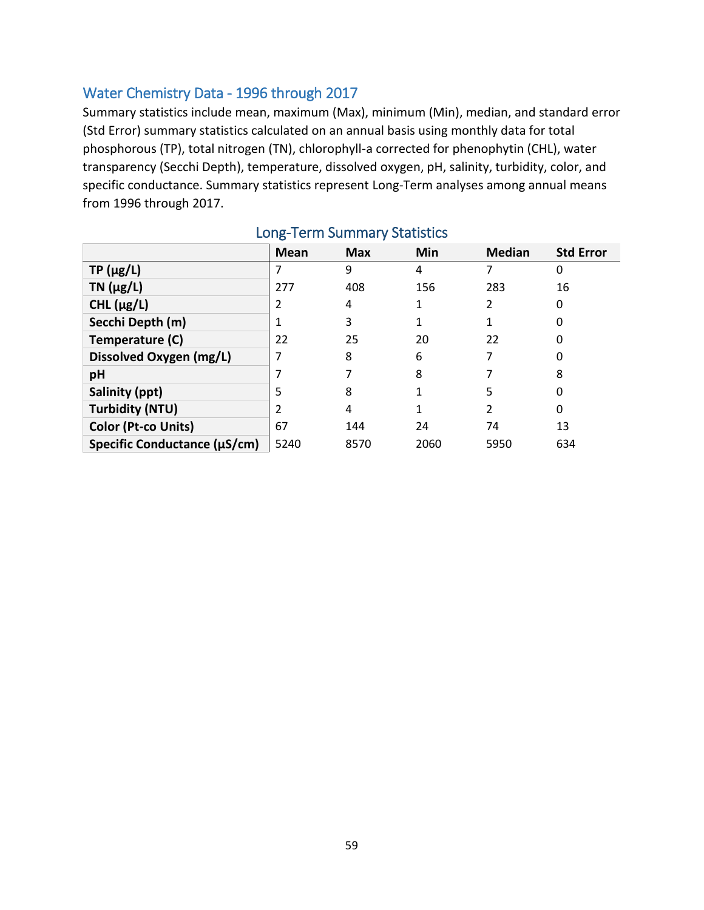## Water Chemistry Data - 1996 through 2017

Summary statistics include mean, maximum (Max), minimum (Min), median, and standard error (Std Error) summary statistics calculated on an annual basis using monthly data for total phosphorous (TP), total nitrogen (TN), chlorophyll-a corrected for phenophytin (CHL), water transparency (Secchi Depth), temperature, dissolved oxygen, pH, salinity, turbidity, color, and specific conductance. Summary statistics represent Long-Term analyses among annual means from 1996 through 2017.

|                              | <b>Mean</b> | <b>Max</b> | Min  | <b>Median</b> | <b>Std Error</b> |
|------------------------------|-------------|------------|------|---------------|------------------|
| $TP(\mu g/L)$                |             | 9          | 4    |               | 0                |
| TN $(\mu g/L)$               | 277         | 408        | 156  | 283           | 16               |
| CHL $(\mu g/L)$              |             | 4          |      |               | 0                |
| Secchi Depth (m)             |             | 3          |      |               |                  |
| Temperature (C)              | 22          | 25         | 20   | 22            | 0                |
| Dissolved Oxygen (mg/L)      |             | 8          | 6    |               |                  |
| pH                           |             |            | 8    |               | 8                |
| Salinity (ppt)               | 5           | 8          |      | 5             | 0                |
| <b>Turbidity (NTU)</b>       | າ           | 4          |      | 2             | 0                |
| Color (Pt-co Units)          | 67          | 144        | 24   | 74            | 13               |
| Specific Conductance (µS/cm) | 5240        | 8570       | 2060 | 5950          | 634              |

## Long-Term Summary Statistics